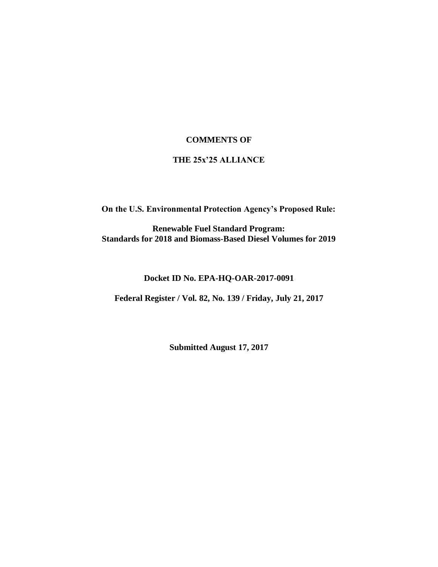### **COMMENTS OF**

#### **THE 25x'25 ALLIANCE**

**On the U.S. Environmental Protection Agency's Proposed Rule:**

**Renewable Fuel Standard Program: Standards for 2018 and Biomass-Based Diesel Volumes for 2019**

### **Docket ID No. EPA-HQ-OAR-2017-0091**

**Federal Register / Vol. 82, No. 139 / Friday, July 21, 2017**

**Submitted August 17, 2017**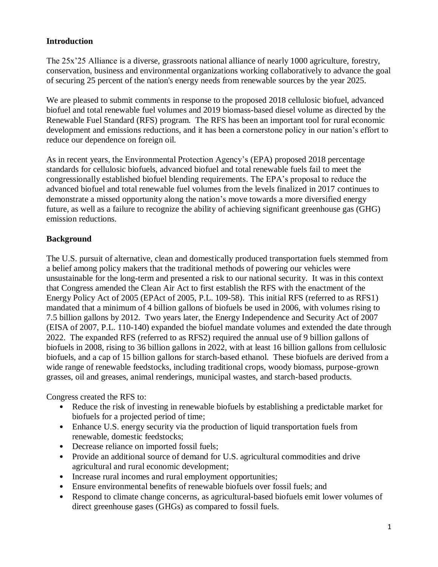# **Introduction**

The 25x'25 Alliance is a diverse, grassroots national alliance of nearly 1000 agriculture, forestry, conservation, business and environmental organizations working collaboratively to advance the goal of securing 25 percent of the nation's energy needs from renewable sources by the year 2025.

We are pleased to submit comments in response to the proposed 2018 cellulosic biofuel, advanced biofuel and total renewable fuel volumes and 2019 biomass-based diesel volume as directed by the Renewable Fuel Standard (RFS) program. The RFS has been an important tool for rural economic development and emissions reductions, and it has been a cornerstone policy in our nation's effort to reduce our dependence on foreign oil.

As in recent years, the Environmental Protection Agency's (EPA) proposed 2018 percentage standards for cellulosic biofuels, advanced biofuel and total renewable fuels fail to meet the congressionally established biofuel blending requirements. The EPA's proposal to reduce the advanced biofuel and total renewable fuel volumes from the levels finalized in 2017 continues to demonstrate a missed opportunity along the nation's move towards a more diversified energy future, as well as a failure to recognize the ability of achieving significant greenhouse gas (GHG) emission reductions.

## **Background**

The U.S. pursuit of alternative, clean and domestically produced transportation fuels stemmed from a belief among policy makers that the traditional methods of powering our vehicles were unsustainable for the long-term and presented a risk to our national security. It was in this context that Congress amended the Clean Air Act to first establish the RFS with the enactment of the Energy Policy Act of 2005 (EPAct of 2005, P.L. 109-58). This initial RFS (referred to as RFS1) mandated that a minimum of 4 billion gallons of biofuels be used in 2006, with volumes rising to 7.5 billion gallons by 2012. Two years later, the Energy Independence and Security Act of 2007 (EISA of 2007, P.L. 110-140) expanded the biofuel mandate volumes and extended the date through 2022. The expanded RFS (referred to as RFS2) required the annual use of 9 billion gallons of biofuels in 2008, rising to 36 billion gallons in 2022, with at least 16 billion gallons from cellulosic biofuels, and a cap of 15 billion gallons for starch-based ethanol. These biofuels are derived from a wide range of renewable feedstocks, including traditional crops, woody biomass, purpose-grown grasses, oil and greases, animal renderings, municipal wastes, and starch-based products.

Congress created the RFS to:

- Reduce the risk of investing in renewable biofuels by establishing a predictable market for biofuels for a projected period of time;
- Enhance U.S. energy security via the production of liquid transportation fuels from renewable, domestic feedstocks;
- Decrease reliance on imported fossil fuels;
- Provide an additional source of demand for U.S. agricultural commodities and drive agricultural and rural economic development;
- Increase rural incomes and rural employment opportunities;
- Ensure environmental benefits of renewable biofuels over fossil fuels; and
- Respond to climate change concerns, as agricultural-based biofuels emit lower volumes of direct greenhouse gases (GHGs) as compared to fossil fuels.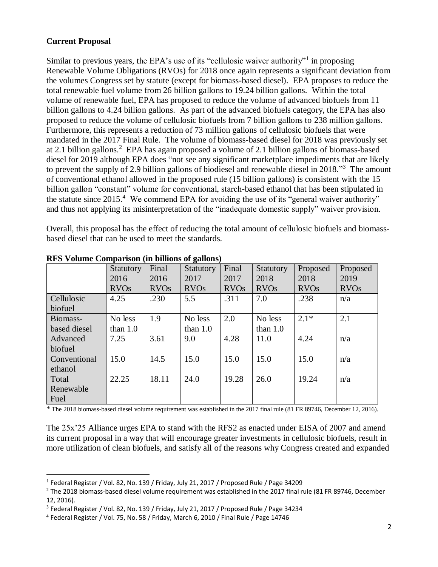### **Current Proposal**

 $\ddot{\phantom{a}}$ 

Similar to previous years, the EPA's use of its "cellulosic waiver authority"<sup>1</sup> in proposing Renewable Volume Obligations (RVOs) for 2018 once again represents a significant deviation from the volumes Congress set by statute (except for biomass-based diesel). EPA proposes to reduce the total renewable fuel volume from 26 billion gallons to 19.24 billion gallons. Within the total volume of renewable fuel, EPA has proposed to reduce the volume of advanced biofuels from 11 billion gallons to 4.24 billion gallons. As part of the advanced biofuels category, the EPA has also proposed to reduce the volume of cellulosic biofuels from 7 billion gallons to 238 million gallons. Furthermore, this represents a reduction of 73 million gallons of cellulosic biofuels that were mandated in the 2017 Final Rule. The volume of biomass-based diesel for 2018 was previously set at 2.1 billion gallons.<sup>2</sup> EPA has again proposed a volume of 2.1 billion gallons of biomass-based diesel for 2019 although EPA does "not see any significant marketplace impediments that are likely to prevent the supply of 2.9 billion gallons of biodiesel and renewable diesel in 2018."<sup>3</sup> The amount of conventional ethanol allowed in the proposed rule (15 billion gallons) is consistent with the 15 billion gallon "constant" volume for conventional, starch-based ethanol that has been stipulated in the statute since  $2015<sup>4</sup>$  We commend EPA for avoiding the use of its "general waiver authority" and thus not applying its misinterpretation of the "inadequate domestic supply" waiver provision.

Overall, this proposal has the effect of reducing the total amount of cellulosic biofuels and biomassbased diesel that can be used to meet the standards.

|              |             |             | $\mathbf{\Xi}$ |             |             |             |             |
|--------------|-------------|-------------|----------------|-------------|-------------|-------------|-------------|
|              | Statutory   | Final       | Statutory      | Final       | Statutory   | Proposed    | Proposed    |
|              | 2016        | 2016        | 2017           | 2017        | 2018        | 2018        | 2019        |
|              | <b>RVOs</b> | <b>RVOs</b> | <b>RVOs</b>    | <b>RVOs</b> | <b>RVOs</b> | <b>RVOs</b> | <b>RVOs</b> |
| Cellulosic   | 4.25        | .230        | 5.5            | .311        | 7.0         | .238        | n/a         |
| biofuel      |             |             |                |             |             |             |             |
| Biomass-     | No less     | 1.9         | No less        | 2.0         | No less     | $2.1*$      | 2.1         |
| based diesel | than $1.0$  |             | than $1.0$     |             | than $1.0$  |             |             |
| Advanced     | 7.25        | 3.61        | 9.0            | 4.28        | 11.0        | 4.24        | n/a         |
| biofuel      |             |             |                |             |             |             |             |
| Conventional | 15.0        | 14.5        | 15.0           | 15.0        | 15.0        | 15.0        | n/a         |
| ethanol      |             |             |                |             |             |             |             |
| Total        | 22.25       | 18.11       | 24.0           | 19.28       | 26.0        | 19.24       | n/a         |
| Renewable    |             |             |                |             |             |             |             |
| Fuel         |             |             |                |             |             |             |             |

### **RFS Volume Comparison (in billions of gallons)**

\* The 2018 biomass-based diesel volume requirement was established in the 2017 final rule (81 FR 89746, December 12, 2016).

The 25x'25 Alliance urges EPA to stand with the RFS2 as enacted under EISA of 2007 and amend its current proposal in a way that will encourage greater investments in cellulosic biofuels, result in more utilization of clean biofuels, and satisfy all of the reasons why Congress created and expanded

<sup>1</sup> Federal Register / Vol. 82, No. 139 / Friday, July 21, 2017 / Proposed Rule / Page 34209

 $^2$  The 2018 biomass-based diesel volume requirement was established in the 2017 final rule (81 FR 89746, December 12, 2016).

<sup>&</sup>lt;sup>3</sup> Federal Register / Vol. 82, No. 139 / Friday, July 21, 2017 / Proposed Rule / Page 34234

<sup>4</sup> Federal Register / Vol. 75, No. 58 / Friday, March 6, 2010 / Final Rule / Page 14746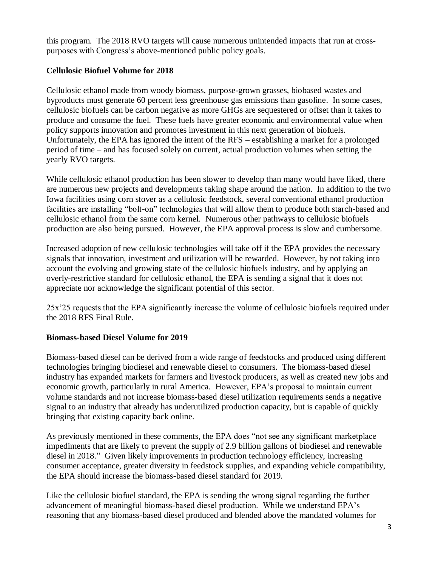this program. The 2018 RVO targets will cause numerous unintended impacts that run at crosspurposes with Congress's above-mentioned public policy goals.

# **Cellulosic Biofuel Volume for 2018**

Cellulosic ethanol made from woody biomass, purpose-grown grasses, biobased wastes and byproducts must generate 60 percent less greenhouse gas emissions than gasoline. In some cases, cellulosic biofuels can be carbon negative as more GHGs are sequestered or offset than it takes to produce and consume the fuel. These fuels have greater economic and environmental value when policy supports innovation and promotes investment in this next generation of biofuels. Unfortunately, the EPA has ignored the intent of the RFS – establishing a market for a prolonged period of time – and has focused solely on current, actual production volumes when setting the yearly RVO targets.

While cellulosic ethanol production has been slower to develop than many would have liked, there are numerous new projects and developments taking shape around the nation. In addition to the two Iowa facilities using corn stover as a cellulosic feedstock, several conventional ethanol production facilities are installing "bolt-on" technologies that will allow them to produce both starch-based and cellulosic ethanol from the same corn kernel. Numerous other pathways to cellulosic biofuels production are also being pursued. However, the EPA approval process is slow and cumbersome.

Increased adoption of new cellulosic technologies will take off if the EPA provides the necessary signals that innovation, investment and utilization will be rewarded. However, by not taking into account the evolving and growing state of the cellulosic biofuels industry, and by applying an overly-restrictive standard for cellulosic ethanol, the EPA is sending a signal that it does not appreciate nor acknowledge the significant potential of this sector.

25x'25 requests that the EPA significantly increase the volume of cellulosic biofuels required under the 2018 RFS Final Rule.

### **Biomass-based Diesel Volume for 2019**

Biomass-based diesel can be derived from a wide range of feedstocks and produced using different technologies bringing biodiesel and renewable diesel to consumers. The biomass-based diesel industry has expanded markets for farmers and livestock producers, as well as created new jobs and economic growth, particularly in rural America. However, EPA's proposal to maintain current volume standards and not increase biomass-based diesel utilization requirements sends a negative signal to an industry that already has underutilized production capacity, but is capable of quickly bringing that existing capacity back online.

As previously mentioned in these comments, the EPA does "not see any significant marketplace impediments that are likely to prevent the supply of 2.9 billion gallons of biodiesel and renewable diesel in 2018." Given likely improvements in production technology efficiency, increasing consumer acceptance, greater diversity in feedstock supplies, and expanding vehicle compatibility, the EPA should increase the biomass-based diesel standard for 2019.

Like the cellulosic biofuel standard, the EPA is sending the wrong signal regarding the further advancement of meaningful biomass-based diesel production. While we understand EPA's reasoning that any biomass-based diesel produced and blended above the mandated volumes for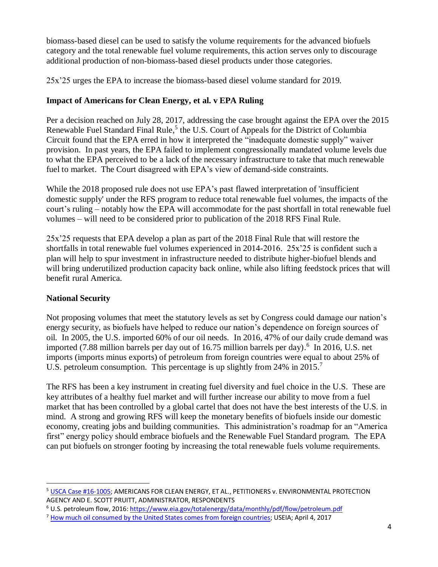biomass-based diesel can be used to satisfy the volume requirements for the advanced biofuels category and the total renewable fuel volume requirements, this action serves only to discourage additional production of non-biomass-based diesel products under those categories.

25x'25 urges the EPA to increase the biomass-based diesel volume standard for 2019.

# **Impact of Americans for Clean Energy, et al. v EPA Ruling**

Per a decision reached on July 28, 2017, addressing the case brought against the EPA over the 2015 Renewable Fuel Standard Final Rule,<sup>5</sup> the U.S. Court of Appeals for the District of Columbia Circuit found that the EPA erred in how it interpreted the "inadequate domestic supply" waiver provision. In past years, the EPA failed to implement congressionally mandated volume levels due to what the EPA perceived to be a lack of the necessary infrastructure to take that much renewable fuel to market. The Court disagreed with EPA's view of demand-side constraints.

While the 2018 proposed rule does not use EPA's past flawed interpretation of 'insufficient domestic supply' under the RFS program to reduce total renewable fuel volumes, the impacts of the court's ruling – notably how the EPA will accommodate for the past shortfall in total renewable fuel volumes – will need to be considered prior to publication of the 2018 RFS Final Rule.

25x'25 requests that EPA develop a plan as part of the 2018 Final Rule that will restore the shortfalls in total renewable fuel volumes experienced in 2014-2016. 25x'25 is confident such a plan will help to spur investment in infrastructure needed to distribute higher-biofuel blends and will bring underutilized production capacity back online, while also lifting feedstock prices that will benefit rural America.

# **National Security**

 $\ddot{\phantom{a}}$ 

Not proposing volumes that meet the statutory levels as set by Congress could damage our nation's energy security, as biofuels have helped to reduce our nation's dependence on foreign sources of oil. In 2005, the U.S. imported 60% of our oil needs. In 2016, 47% of our daily crude demand was imported (7.88 million barrels per day out of 16.75 million barrels per day). 6 In 2016, U.S. net imports (imports minus exports) of petroleum from foreign countries were equal to about 25% of U.S. petroleum consumption. This percentage is up slightly from 24% in 2015.<sup>7</sup>

The RFS has been a key instrument in creating fuel diversity and fuel choice in the U.S. These are key attributes of a healthy fuel market and will further increase our ability to move from a fuel market that has been controlled by a global cartel that does not have the best interests of the U.S. in mind. A strong and growing RFS will keep the monetary benefits of biofuels inside our domestic economy, creating jobs and building communities. This administration's roadmap for an "America first" energy policy should embrace biofuels and the Renewable Fuel Standard program. The EPA can put biofuels on stronger footing by increasing the total renewable fuels volume requirements.

<sup>5</sup> [USCA Case #16-1005;](https://www.agri-pulse.com/ext/resources/pdfs/a/AmericansforCleanEnergyOpinion72817.pdf) AMERICANS FOR CLEAN ENERGY, ET AL., PETITIONERS v. ENVIRONMENTAL PROTECTION AGENCY AND E. SCOTT PRUITT, ADMINISTRATOR, RESPONDENTS

<sup>6</sup> U.S. petroleum flow, 2016[: https://www.eia.gov/totalenergy/data/monthly/pdf/flow/petroleum.pdf](https://www.eia.gov/totalenergy/data/monthly/pdf/flow/petroleum.pdf)

<sup>&</sup>lt;sup>7</sup> [How much oil consumed by the United States comes from foreign countries;](http://www.eia.gov/tools/faqs/faq.cfm?id=32&t=6) USEIA; April 4, 2017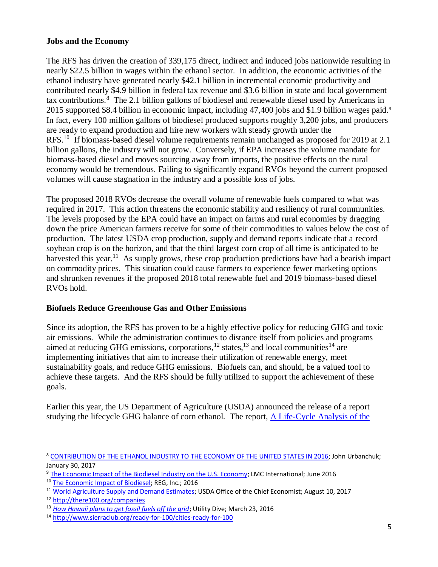### **Jobs and the Economy**

The RFS has driven the creation of 339,175 direct, indirect and induced jobs nationwide resulting in nearly \$22.5 billion in wages within the ethanol sector. In addition, the economic activities of the ethanol industry have generated nearly \$42.1 billion in incremental economic productivity and contributed nearly \$4.9 billion in federal tax revenue and \$3.6 billion in state and local government tax contributions.<sup>8</sup> The 2.1 billion gallons of biodiesel and renewable diesel used by Americans in 2015 supported \$8.4 billion in economic impact, including 47,400 jobs and \$1.9 billion wages paid.<sup>9</sup> In fact, every 100 million gallons of biodiesel produced supports roughly 3,200 jobs, and producers are ready to expand production and hire new workers with steady growth under the RFS.<sup>10</sup> If biomass-based diesel volume requirements remain unchanged as proposed for 2019 at 2.1 billion gallons, the industry will not grow. Conversely, if EPA increases the volume mandate for biomass-based diesel and moves sourcing away from imports, the positive effects on the rural economy would be tremendous. Failing to significantly expand RVOs beyond the current proposed volumes will cause stagnation in the industry and a possible loss of jobs.

The proposed 2018 RVOs decrease the overall volume of renewable fuels compared to what was required in 2017. This action threatens the economic stability and resiliency of rural communities. The levels proposed by the EPA could have an impact on farms and rural economies by dragging down the price American farmers receive for some of their commodities to values below the cost of production. The latest USDA crop production, supply and demand reports indicate that a record soybean crop is on the horizon, and that the third largest corn crop of all time is anticipated to be harvested this year.<sup>11</sup> As supply grows, these crop production predictions have had a bearish impact on commodity prices. This situation could cause farmers to experience fewer marketing options and shrunken revenues if the proposed 2018 total renewable fuel and 2019 biomass-based diesel RVOs hold.

### **Biofuels Reduce Greenhouse Gas and Other Emissions**

Since its adoption, the RFS has proven to be a highly effective policy for reducing GHG and toxic air emissions. While the administration continues to distance itself from policies and programs aimed at reducing GHG emissions, corporations,  $^{12}$  states,  $^{13}$  and local communities  $^{14}$  are implementing initiatives that aim to increase their utilization of renewable energy, meet sustainability goals, and reduce GHG emissions. Biofuels can, and should, be a valued tool to achieve these targets. And the RFS should be fully utilized to support the achievement of these goals.

Earlier this year, the US Department of Agriculture (USDA) announced the release of a report studying the lifecycle GHG balance of corn ethanol. The report, A Life-Cycle Analysis of the

 $\ddot{\phantom{a}}$ <sup>8</sup> [CONTRIBUTION OF THE ETHANOL INDUSTRY TO THE](http://www.ethanolrfa.org/wp-content/uploads/2017/02/Ethanol-Economic-Impact-for-2016.pdf) ECONOMY OF THE UNITED STATES IN 2016; John Urbanchuk; January 30, 2017

<sup>9</sup> [The Economic Impact of the Biodiesel Industry on the U.S. Economy;](http://biodiesel.org/docs/default-source/policy--federal/lmc-study-for-nbb_economic-impact-of-biodiesel_june-2016-final.pdf?sfvrsn=2) LMC International; June 2016

<sup>&</sup>lt;sup>10</sup> [The Economic Impact of Biodiesel;](http://regi.com/docs/default-source/marketing-collateral/reg-economic-impact-fact-sheet.pdf?sfvrsn=6) REG, Inc.; 2016

<sup>&</sup>lt;sup>11</sup> [World Agriculture Supply and Demand Estimates;](https://www.usda.gov/oce/commodity/wasde/latest.pdf) USDA Office of the Chief Economist; August 10, 2017

<sup>12</sup> <http://there100.org/companies>

<sup>13</sup> *[How Hawaii plans to get fossil fuels off the grid](http://www.utilitydive.com/news/getting-to-100-renewables-how-hawaii-plans-to-get-fossil-fuels-off-the-gr/416176/)*; Utility Dive; March 23, 2016

<sup>14</sup> <http://www.sierraclub.org/ready-for-100/cities-ready-for-100>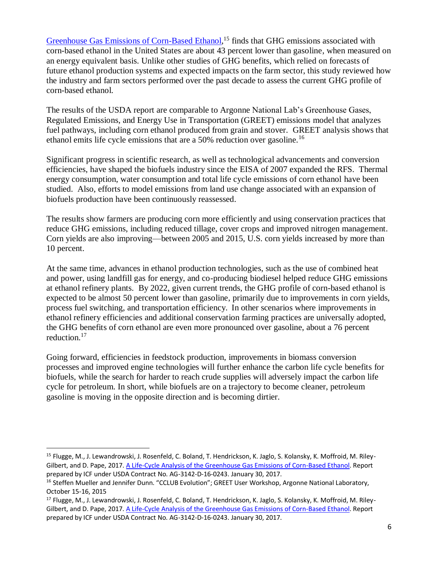[Greenhouse Gas Emissions of Corn-Based Ethanol,](http://links.govdelivery.com/track?type=click&enid=ZWFzPTEmbWFpbGluZ2lkPTIwMTcwMTEyLjY4NjczMjMxJm1lc3NhZ2VpZD1NREItUFJELUJVTC0yMDE3MDExMi42ODY3MzIzMSZkYXRhYmFzZWlkPTEwMDEmc2VyaWFsPTE3ODA3ODYxJmVtYWlsaWQ9YmJhaWxleUAyNXgyNS5vcmcmdXNlcmlkPWJiYWlsZXlAMjV4MjUub3JnJmZsPSZleHRyYT1NdWx0aXZhcmlhdGVJZD0mJiY=&&&101&&&https://www.usda.gov/oce/climate_change/mitigation_technologies/USDAEthanolReport_20170107.pdf)<sup>15</sup> finds that GHG emissions associated with corn-based ethanol in the United States are about 43 percent lower than gasoline, when measured on an energy equivalent basis. Unlike other studies of GHG benefits, which relied on forecasts of future ethanol production systems and expected impacts on the farm sector, this study reviewed how the industry and farm sectors performed over the past decade to assess the current GHG profile of corn-based ethanol.

The results of the USDA report are comparable to Argonne National Lab's Greenhouse Gases, Regulated Emissions, and Energy Use in Transportation (GREET) emissions model that analyzes fuel pathways, including corn ethanol produced from grain and stover. GREET analysis shows that ethanol emits life cycle emissions that are a 50% reduction over gasoline.<sup>16</sup>

Significant progress in scientific research, as well as technological advancements and conversion efficiencies, have shaped the biofuels industry since the EISA of 2007 expanded the RFS. Thermal energy consumption, water consumption and total life cycle emissions of corn ethanol have been studied. Also, efforts to model emissions from land use change associated with an expansion of biofuels production have been continuously reassessed.

The results show farmers are producing corn more efficiently and using conservation practices that reduce GHG emissions, including reduced tillage, cover crops and improved nitrogen management. Corn yields are also improving—between 2005 and 2015, U.S. corn yields increased by more than 10 percent.

At the same time, advances in ethanol production technologies, such as the use of combined heat and power, using landfill gas for energy, and co-producing biodiesel helped reduce GHG emissions at ethanol refinery plants. By 2022, given current trends, the GHG profile of corn-based ethanol is expected to be almost 50 percent lower than gasoline, primarily due to improvements in corn yields, process fuel switching, and transportation efficiency. In other scenarios where improvements in ethanol refinery efficiencies and additional conservation farming practices are universally adopted, the GHG benefits of corn ethanol are even more pronounced over gasoline, about a 76 percent reduction.<sup>17</sup>

Going forward, efficiencies in feedstock production, improvements in biomass conversion processes and improved engine technologies will further enhance the carbon life cycle benefits for biofuels, while the search for harder to reach crude supplies will adversely impact the carbon life cycle for petroleum. In short, while biofuels are on a trajectory to become cleaner, petroleum gasoline is moving in the opposite direction and is becoming dirtier.

 $\ddot{\phantom{a}}$ 

<sup>&</sup>lt;sup>15</sup> Flugge, M., J. Lewandrowski, J. Rosenfeld, C. Boland, T. Hendrickson, K. Jaglo, S. Kolansky, K. Moffroid, M. Riley-Gilbert, and D. Pape, 2017. [A Life-Cycle Analysis of the Greenhouse Gas Emissions of Corn-Based Ethanol.](https://www.usda.gov/oce/climate_change/mitigation_technologies/USDAEthanolReport_20170107.pdf) Report prepared by ICF under USDA Contract No. AG-3142-D-16-0243. January 30, 2017.

<sup>&</sup>lt;sup>16</sup> Steffen Mueller and Jennifer Dunn. "CCLUB Evolution"; GREET User Workshop, Argonne National Laboratory, October 15-16, 2015

<sup>&</sup>lt;sup>17</sup> Flugge, M., J. Lewandrowski, J. Rosenfeld, C. Boland, T. Hendrickson, K. Jaglo, S. Kolansky, K. Moffroid, M. Riley-Gilbert, and D. Pape, 2017. [A Life-Cycle Analysis of the Greenhouse Gas Emissions of Corn-Based Ethanol.](https://www.usda.gov/oce/climate_change/mitigation_technologies/USDAEthanolReport_20170107.pdf) Report prepared by ICF under USDA Contract No. AG-3142-D-16-0243. January 30, 2017.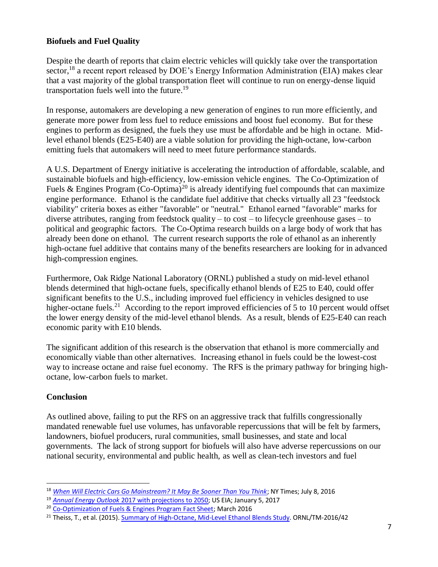## **Biofuels and Fuel Quality**

Despite the dearth of reports that claim electric vehicles will quickly take over the transportation sector,<sup>18</sup> a recent report released by DOE's Energy Information Administration (EIA) makes clear that a vast majority of the global transportation fleet will continue to run on energy-dense liquid transportation fuels well into the future. 19

In response, automakers are developing a new generation of engines to run more efficiently, and generate more power from less fuel to reduce emissions and boost fuel economy. But for these engines to perform as designed, the fuels they use must be affordable and be high in octane. Midlevel ethanol blends (E25-E40) are a viable solution for providing the high-octane, low-carbon emitting fuels that automakers will need to meet future performance standards.

A U.S. Department of Energy initiative is accelerating the introduction of affordable, scalable, and sustainable biofuels and high-efficiency, low-emission vehicle engines. The Co-Optimization of Fuels & Engines Program  $\rm (Co-Optima)^{20}$  is already identifying fuel compounds that can maximize engine performance. Ethanol is the candidate fuel additive that checks virtually all 23 "feedstock viability" criteria boxes as either "favorable" or "neutral." Ethanol earned "favorable" marks for diverse attributes, ranging from feedstock quality – to cost – to lifecycle greenhouse gases – to political and geographic factors. The Co-Optima research builds on a large body of work that has already been done on ethanol. The current research supports the role of ethanol as an inherently high-octane fuel additive that contains many of the benefits researchers are looking for in advanced high-compression engines.

Furthermore, Oak Ridge National Laboratory (ORNL) published a study on mid-level ethanol blends determined that high-octane fuels, specifically ethanol blends of E25 to E40, could offer significant benefits to the U.S., including improved fuel efficiency in vehicles designed to use higher-octane fuels.<sup>21</sup> According to the report improved efficiencies of 5 to 10 percent would offset the lower energy density of the mid-level ethanol blends. As a result, blends of E25-E40 can reach economic parity with E10 blends.

The significant addition of this research is the observation that ethanol is more commercially and economically viable than other alternatives. Increasing ethanol in fuels could be the lowest-cost way to increase octane and raise fuel economy. The RFS is the primary pathway for bringing highoctane, low-carbon fuels to market.

### **Conclusion**

As outlined above, failing to put the RFS on an aggressive track that fulfills congressionally mandated renewable fuel use volumes, has unfavorable repercussions that will be felt by farmers, landowners, biofuel producers, rural communities, small businesses, and state and local governments. The lack of strong support for biofuels will also have adverse repercussions on our national security, environmental and public health, as well as clean-tech investors and fuel

 $\ddot{\phantom{a}}$ <sup>18</sup> *[When Will Electric Cars Go Mainstream? It May Be Sooner Than You Think](https://www.nytimes.com/2017/07/08/climate/electric-cars-batteries.html)*; NY Times; July 8, 2016

<sup>19</sup> *Annual Energy Outlook* [2017 with projections to 2050;](https://www.eia.gov/outlooks/aeo/pdf/0383(2017).pdf) US EIA; January 5, 2017

<sup>&</sup>lt;sup>20</sup> [Co-Optimization of Fuels & Engines Program Fact Sheet;](https://www.nrel.gov/docs/fy16osti/66146.pdf) March 2016

<sup>&</sup>lt;sup>21</sup> Theiss, T., et al. (2015)[. Summary of High-Octane, Mid-Level Ethanol Blends Study.](http://info.ornl.gov/sites/publications/Files/Pub61169.pdf) ORNL/TM-2016/42